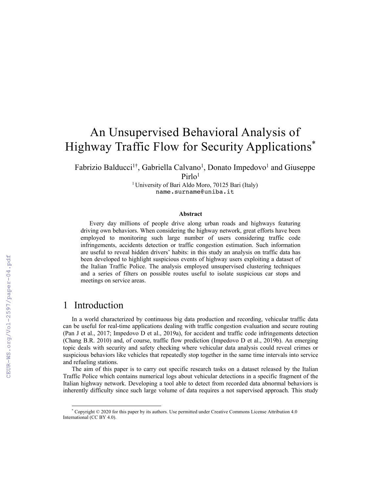# An Unsupervised Behavioral Analysis of Highway Traffic Flow for Security Applications\*

Fabrizio Balducci<sup>1†</sup>, Gabriella Calvano<sup>1</sup>, Donato Impedovo<sup>1</sup> and Giuseppe Pirlo<sup>1</sup>

> <sup>1</sup> University of Bari Aldo Moro, 70125 Bari (Italy) name.surname@uniba.it

#### **Abstract**

Every day millions of people drive along urban roads and highways featuring driving own behaviors. When considering the highway network, great efforts have been employed to monitoring such large number of users considering traffic code infringements, accidents detection or traffic congestion estimation. Such information are useful to reveal hidden drivers' habits: in this study an analysis on traffic data has been developed to highlight suspicious events of highway users exploiting a dataset of the Italian Traffic Police. The analysis employed unsupervised clustering techniques and a series of filters on possible routes useful to isolate suspicious car stops and meetings on service areas.

#### 1 Introduction

In a world characterized by continuous big data production and recording, vehicular traffic data can be useful for real-time applications dealing with traffic congestion evaluation and secure routing (Pan J et al., 2017; Impedovo D et al., 2019a), for accident and traffic code infringements detection (Chang B.R. 2010) and, of course, traffic flow prediction (Impedovo D et al., 2019b). An emerging topic deals with security and safety checking where vehicular data analysis could reveal crimes or suspicious behaviors like vehicles that repeatedly stop together in the same time intervals into service and refueling stations.

The aim of this paper is to carry out specific research tasks on a dataset released by the Italian Traffic Police which contains numerical logs about vehicular detections in a specific fragment of the Italian highway network. Developing a tool able to detect from recorded data abnormal behaviors is inherently difficulty since such large volume of data requires a not supervised approach. This study

<sup>\*</sup> Copyright © 2020 for this paper by its authors. Use permitted under Creative Commons License Attribution 4.0 International (CC BY 4.0).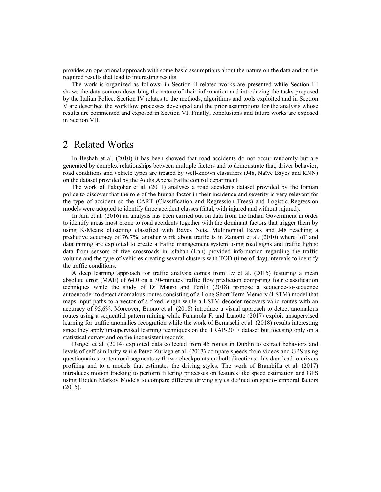provides an operational approach with some basic assumptions about the nature on the data and on the required results that lead to interesting results.

The work is organized as follows: in Section II related works are presented while Section III shows the data sources describing the nature of their information and introducing the tasks proposed by the Italian Police. Section IV relates to the methods, algorithms and tools exploited and in Section V are described the workflow processes developed and the prior assumptions for the analysis whose results are commented and exposed in Section VI. Finally, conclusions and future works are exposed in Section VII.

#### 2 Related Works

In Beshah et al. (2010) it has been showed that road accidents do not occur randomly but are generated by complex relationships between multiple factors and to demonstrate that, driver behavior, road conditions and vehicle types are treated by well-known classifiers (J48, Naïve Bayes and KNN) on the dataset provided by the Addis Abeba traffic control department.

The work of Pakgohar et al. (2011) analyses a road accidents dataset provided by the Iranian police to discover that the role of the human factor in their incidence and severity is very relevant for the type of accident so the CART (Classification and Regression Trees) and Logistic Regression models were adopted to identify three accident classes (fatal, with injured and without injured).

In Jain et al. (2016) an analysis has been carried out on data from the Indian Government in order to identify areas most prone to road accidents together with the dominant factors that trigger them by using K-Means clustering classified with Bayes Nets, Multinomial Bayes and J48 reaching a predictive accuracy of 76,7%; another work about traffic is in Zamani et al. (2010) where IoT and data mining are exploited to create a traffic management system using road signs and traffic lights: data from sensors of five crossroads in Isfahan (Iran) provided information regarding the traffic volume and the type of vehicles creating several clusters with TOD (time-of-day) intervals to identify the traffic conditions.

A deep learning approach for traffic analysis comes from Lv et al. (2015) featuring a mean absolute error (MAE) of 64.0 on a 30-minutes traffic flow prediction comparing four classification techniques while the study of Di Mauro and Ferilli (2018) propose a sequence-to-sequence autoencoder to detect anomalous routes consisting of a Long Short Term Memory (LSTM) model that maps input paths to a vector of a fixed length while a LSTM decoder recovers valid routes with an accuracy of 95,6%. Moreover, Buono et al. (2018) introduce a visual approach to detect anomalous routes using a sequential pattern mining while Fumarola F. and Lanotte (2017) exploit unsupervised learning for traffic anomalies recognition while the work of Bernaschi et al. (2018) results interesting since they apply unsupervised learning techniques on the TRAP-2017 dataset but focusing only on a statistical survey and on the inconsistent records.

Dangel et al. (2014) exploited data collected from 45 routes in Dublin to extract behaviors and levels of self-similarity while Perez-Zuriaga et al. (2013) compare speeds from videos and GPS using questionnaires on ten road segments with two checkpoints on both directions: this data lead to drivers profiling and to a models that estimates the driving styles. The work of Brambilla et al. (2017) introduces motion tracking to perform filtering processes on features like speed estimation and GPS using Hidden Markov Models to compare different driving styles defined on spatio-temporal factors (2015).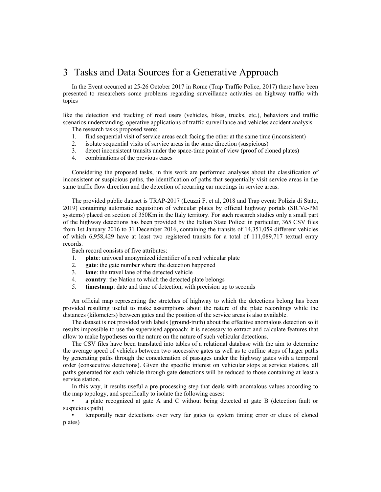## 3 Tasks and Data Sources for a Generative Approach

In the Event occurred at 25-26 October 2017 in Rome (Trap Traffic Police, 2017) there have been presented to researchers some problems regarding surveillance activities on highway traffic with topics

like the detection and tracking of road users (vehicles, bikes, trucks, etc.), behaviors and traffic scenarios understanding, operative applications of traffic surveillance and vehicles accident analysis.

The research tasks proposed were:

- 1. find sequential visit of service areas each facing the other at the same time (inconsistent)
- 2. isolate sequential visits of service areas in the same direction (suspicious)
- 3. detect inconsistent transits under the space-time point of view (proof of cloned plates)
- 4. combinations of the previous cases

Considering the proposed tasks, in this work are performed analyses about the classification of inconsistent or suspicious paths, the identification of paths that sequentially visit service areas in the same traffic flow direction and the detection of recurring car meetings in service areas.

The provided public dataset is TRAP-2017 (Leuzzi F. et al, 2018 and Trap event: Polizia di Stato, 2019) containing automatic acquisition of vehicular plates by official highway portals (SICVe-PM systems) placed on section of 350Km in the Italy territory. For such research studies only a small part of the highway detections has been provided by the Italian State Police: in particular, 365 CSV files from 1st January 2016 to 31 December 2016, containing the transits of 14,351,059 different vehicles of which 6,958,429 have at least two registered transits for a total of 111,089,717 textual entry records.

Each record consists of five attributes:

- 1. **plate**: univocal anonymized identifier of a real vehicular plate
- 2. **gate**: the gate number where the detection happened
- 3. **lane**: the travel lane of the detected vehicle
- 4. **country**: the Nation to which the detected plate belongs
- 5. **timestamp**: date and time of detection, with precision up to seconds

An official map representing the stretches of highway to which the detections belong has been provided resulting useful to make assumptions about the nature of the plate recordings while the distances (kilometers) between gates and the position of the service areas is also available.

The dataset is not provided with labels (ground-truth) about the effective anomalous detection so it results impossible to use the supervised approach: it is necessary to extract and calculate features that allow to make hypotheses on the nature on the nature of such vehicular detections.

The CSV files have been translated into tables of a relational database with the aim to determine the average speed of vehicles between two successive gates as well as to outline steps of larger paths by generating paths through the concatenation of passages under the highway gates with a temporal order (consecutive detections). Given the specific interest on vehicular stops at service stations, all paths generated for each vehicle through gate detections will be reduced to those containing at least a service station.

In this way, it results useful a pre-processing step that deals with anomalous values according to the map topology, and specifically to isolate the following cases:

• a plate recognized at gate A and C without being detected at gate B (detection fault or suspicious path)

• temporally near detections over very far gates (a system timing error or clues of cloned plates)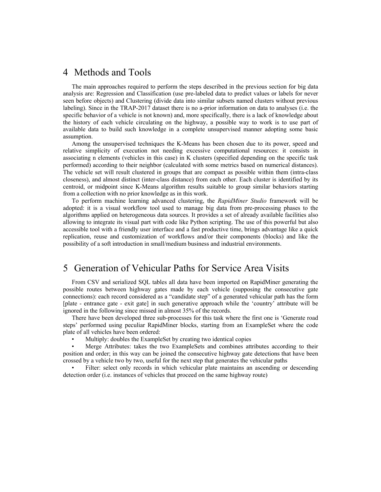#### 4 Methods and Tools

The main approaches required to perform the steps described in the previous section for big data analysis are: Regression and Classification (use pre-labeled data to predict values or labels for never seen before objects) and Clustering (divide data into similar subsets named clusters without previous labeling). Since in the TRAP-2017 dataset there is no a-prior information on data to analyses (i.e. the specific behavior of a vehicle is not known) and, more specifically, there is a lack of knowledge about the history of each vehicle circulating on the highway, a possible way to work is to use part of available data to build such knowledge in a complete unsupervised manner adopting some basic assumption.

Among the unsupervised techniques the K-Means has been chosen due to its power, speed and relative simplicity of execution not needing excessive computational resources: it consists in associating n elements (vehicles in this case) in K clusters (specified depending on the specific task performed) according to their neighbor (calculated with some metrics based on numerical distances). The vehicle set will result clustered in groups that are compact as possible within them (intra-class closeness), and almost distinct (inter-class distance) from each other. Each cluster is identified by its centroid, or midpoint since K-Means algorithm results suitable to group similar behaviors starting from a collection with no prior knowledge as in this work.

To perform machine learning advanced clustering, the *RapidMiner Studio* framework will be adopted: it is a visual workflow tool used to manage big data from pre-processing phases to the algorithms applied on heterogeneous data sources. It provides a set of already available facilities also allowing to integrate its visual part with code like Python scripting. The use of this powerful but also accessible tool with a friendly user interface and a fast productive time, brings advantage like a quick replication, reuse and customization of workflows and/or their components (blocks) and like the possibility of a soft introduction in small/medium business and industrial environments.

# 5 Generation of Vehicular Paths for Service Area Visits

From CSV and serialized SQL tables all data have been imported on RapidMiner generating the possible routes between highway gates made by each vehicle (supposing the consecutive gate connections): each record considered as a "candidate step" of a generated vehicular path has the form [plate - entrance gate - exit gate] in such generative approach while the 'country' attribute will be ignored in the following since missed in almost 35% of the records.

There have been developed three sub-processes for this task where the first one is 'Generate road steps' performed using peculiar RapidMiner blocks, starting from an ExampleSet where the code plate of all vehicles have been ordered:

• Multiply: doubles the ExampleSet by creating two identical copies

Merge Attributes: takes the two ExampleSets and combines attributes according to their position and order; in this way can be joined the consecutive highway gate detections that have been crossed by a vehicle two by two, useful for the next step that generates the vehicular paths

Filter: select only records in which vehicular plate maintains an ascending or descending detection order (i.e. instances of vehicles that proceed on the same highway route)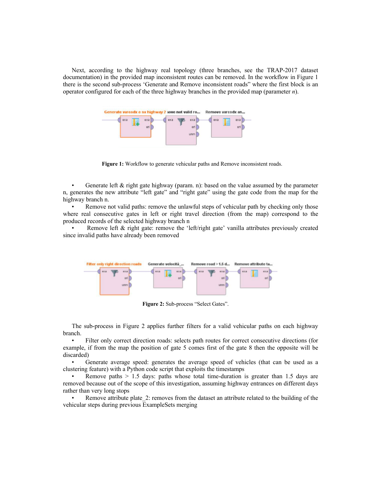Next, according to the highway real topology (three branches, see the TRAP-2017 dataset documentation) in the provided map inconsistent routes can be removed. In the workflow in Figure 1 there is the second sub-process 'Generate and Remove inconsistent roads" where the first block is an operator configured for each of the three highway branches in the provided map (parameter *n*).



**Figure 1:** Workflow to generate vehicular paths and Remove inconsistent roads.

Generate left  $\&$  right gate highway (param. n): based on the value assumed by the parameter n, generates the new attribute "left gate" and "right gate" using the gate code from the map for the highway branch n.

Remove not valid paths: remove the unlawful steps of vehicular path by checking only those where real consecutive gates in left or right travel direction (from the map) correspond to the produced records of the selected highway branch n

Remove left & right gate: remove the 'left/right gate' vanilla attributes previously created since invalid paths have already been removed



**Figure 2:** Sub-process "Select Gates".

The sub-process in Figure 2 applies further filters for a valid vehicular paths on each highway branch.

Filter only correct direction roads: selects path routes for correct consecutive directions (for example, if from the map the position of gate 5 comes first of the gate 8 then the opposite will be discarded)

• Generate average speed: generates the average speed of vehicles (that can be used as a clustering feature) with a Python code script that exploits the timestamps

Remove paths  $> 1.5$  days: paths whose total time-duration is greater than 1.5 days are removed because out of the scope of this investigation, assuming highway entrances on different days rather than very long stops

Remove attribute plate 2: removes from the dataset an attribute related to the building of the vehicular steps during previous ExampleSets merging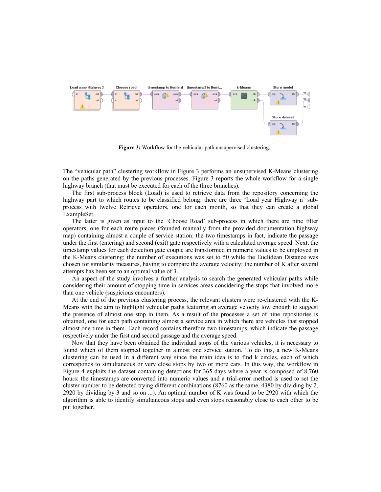

**Figure 3:** Workflow for the vehicular path unsupervised clustering.

The "vehicular path" clustering workflow in Figure 3 performs an unsupervised K-Means clustering on the paths generated by the previous processes. Figure 3 reports the whole workflow for a single highway branch (that must be executed for each of the three branches).

The first sub-process block (Load) is used to retrieve data from the repository concerning the highway part to which routes to be classified belong: there are three 'Load year Highway n' subprocess with twelve Retrieve operators, one for each month, so that they can create a global ExampleSet.

The latter is given as input to the 'Choose Road' sub-process in which there are nine filter operators, one for each route pieces (founded manually from the provided documentation highway map) containing almost a couple of service station: the two timestamps in fact, indicate the passage under the first (entering) and second (exit) gate respectively with a calculated average speed. Next, the timestamp values for each detection gate couple are transformed in numeric values to be employed in the K-Means clustering: the number of executions was set to 50 while the Euclidean Distance was chosen for similarity measures, having to compare the average velocity; the number of K after several attempts has been set to an optimal value of 3.

An aspect of the study involves a further analysis to search the generated vehicular paths while considering their amount of stopping time in services areas considering the stops that involved more than one vehicle (suspicious encounters).

At the end of the previous clustering process, the relevant clusters were re-clustered with the K-Means with the aim to highlight vehicular paths featuring an average velocity low enough to suggest the presence of almost one stop in them. As a result of the processes a set of nine repositories is obtained, one for each path containing almost a service area in which there are vehicles that stopped almost one time in them. Each record contains therefore two timestamps, which indicate the passage respectively under the first and second passage and the average speed.

Now that they have been obtained the individual stops of the various vehicles, it is necessary to found which of them stopped together in almost one service station. To do this, a new K-Means clustering can be used in a different way since the main idea is to find k circles, each of which corresponds to simultaneous or very close stops by two or more cars. In this way, the workflow in Figure 4 exploits the dataset containing detections for 365 days where a year is composed of 8,760 hours: the timestamps are converted into numeric values and a trial-error method is used to set the cluster number to be detected trying different combinations (8760 as the same, 4380 by dividing by 2, 2920 by dividing by 3 and so on ...). An optimal number of K was found to be 2920 with which the algorithm is able to identify simultaneous stops and even stops reasonably close to each other to be put together.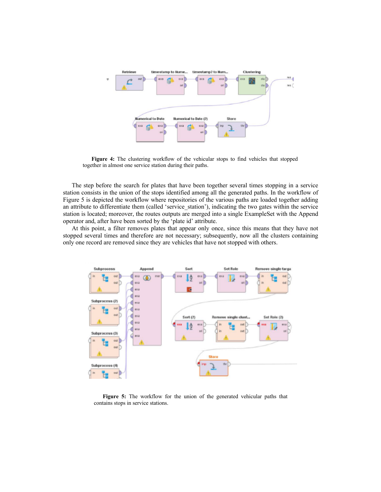

**Figure 4:** The clustering workflow of the vehicular stops to find vehicles that stopped together in almost one service station during their paths.

The step before the search for plates that have been together several times stopping in a service station consists in the union of the stops identified among all the generated paths. In the workflow of Figure 5 is depicted the workflow where repositories of the various paths are loaded together adding an attribute to differentiate them (called 'service\_station'), indicating the two gates within the service station is located; moreover, the routes outputs are merged into a single ExampleSet with the Append operator and, after have been sorted by the 'plate id' attribute.

At this point, a filter removes plates that appear only once, since this means that they have not stopped several times and therefore are not necessary; subsequently, now all the clusters containing only one record are removed since they are vehicles that have not stopped with others.



**Figure 5:** The workflow for the union of the generated vehicular paths that contains stops in service stations.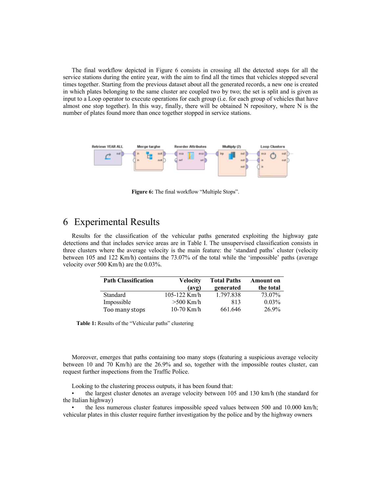The final workflow depicted in Figure 6 consists in crossing all the detected stops for all the service stations during the entire year, with the aim to find all the times that vehicles stopped several times together. Starting from the previous dataset about all the generated records, a new one is created in which plates belonging to the same cluster are coupled two by two; the set is split and is given as input to a Loop operator to execute operations for each group (i.e. for each group of vehicles that have almost one stop together). In this way, finally, there will be obtained N repository, where N is the number of plates found more than once together stopped in service stations.



**Figure 6:** The final workflow "Multiple Stops".

### 6 Experimental Results

Results for the classification of the vehicular paths generated exploiting the highway gate detections and that includes service areas are in Table I. The unsupervised classification consists in three clusters where the average velocity is the main feature: the 'standard paths' cluster (velocity between 105 and 122 Km/h) contains the 73.07% of the total while the 'impossible' paths (average velocity over 500 Km/h) are the 0.03%.

| <b>Path Classification</b> | <b>Velocity</b><br>(avg) | <b>Total Paths</b><br>generated | <b>Amount</b> on<br>the total |
|----------------------------|--------------------------|---------------------------------|-------------------------------|
| Standard                   | $105 - 122$ Km/h         | 1.797.838                       | 73.07%                        |
| Impossible                 | $>500$ Km/h              | 813                             | $0.03\%$                      |
| Too many stops             | 10-70 Km/h               | 661.646                         | 26.9%                         |

**Table 1:** Results of the "Vehicular paths" clustering

Moreover, emerges that paths containing too many stops (featuring a suspicious average velocity between 10 and 70 Km/h) are the 26.9% and so, together with the impossible routes cluster, can request further inspections from the Traffic Police.

Looking to the clustering process outputs, it has been found that:

• the largest cluster denotes an average velocity between 105 and 130 km/h (the standard for the Italian highway)

• the less numerous cluster features impossible speed values between 500 and 10.000 km/h; vehicular plates in this cluster require further investigation by the police and by the highway owners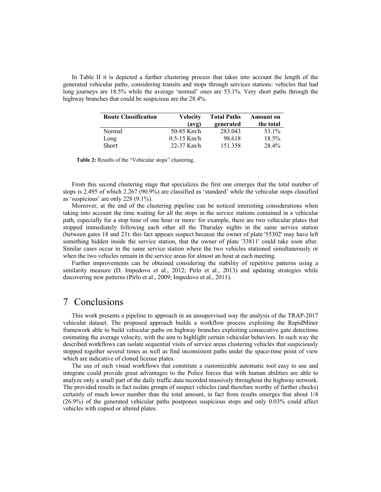In Table II it is depicted a further clustering process that takes into account the length of the generated vehicular paths, considering transits and stops through services stations: vehicles that had long journeys are 18.5% while the average 'normal' ones are 53.1%. Very short paths through the highway branches that could be suspicious are the 28.4%.

| <b>Route Classification</b> | Velocity        | <b>Total Paths</b> | <b>Amount</b> on |
|-----------------------------|-----------------|--------------------|------------------|
|                             | (avg)           | generated          | the total        |
| Normal                      | 50-85 Km/h      | 283.043            | 53.1%            |
| Long                        | $0.5 - 15$ Km/h | 98.618             | 18.5%            |
| Short                       | 22-37 Km/h      | 151.358            | 28.4%            |

**Table 2:** Results of the "Vehicular stops" clustering.

From this second clustering stage that specializes the first one emerges that the total number of stops is 2.495 of which 2.267 (90.9%) are classified as 'standard' while the vehicular stops classified as 'suspicious' are only 228 (9.1%).

Moreover, at the end of the clustering pipeline can be noticed interesting considerations when taking into account the time waiting for all the stops in the service stations contained in a vehicular path, especially for a stop time of one hour or more: for example, there are two vehicular plates that stopped immediately following each other all the Thursday nights in the same service station (between gates 18 and 23): this fact appears suspect because the owner of plate '55302' may have left something hidden inside the service station, that the owner of plate '33811' could take soon after. Similar cases occur in the same service station where the two vehicles stationed simultaneously or when the two vehicles remain in the service areas for almost an hour at each meeting.

Further improvements can be obtained considering the stability of repetitive patterns using a similarity measure (D. Impedovo et al., 2012; Pirlo et al., 2013) and updating strategies while discovering new patterns (Pirlo et al., 2009; Impedovo et al., 2011).

#### 7 Conclusions

This work presents a pipeline to approach in an unsupervised way the analysis of the TRAP-2017 vehicular dataset. The proposed approach builds a workflow process exploiting the RapidMiner framework able to build vehicular paths on highway branches exploiting consecutive gate detections estimating the average velocity, with the aim to highlight certain vehicular behaviors. In such way the described workflows can isolate sequential visits of service areas clustering vehicles that suspiciously stopped together several times as well as find inconsistent paths under the space-time point of view which are indicative of cloned license plates.

The use of such visual workflows that constitute a customizable automatic tool easy to use and integrate could provide great advantages to the Police forces that with human abilities are able to analyze only a small part of the daily traffic data recorded massively throughout the highway network. The provided results in fact isolate groups of suspect vehicles (and therefore worthy of further checks) certainly of much lower number than the total amount, in fact from results emerges that about 1/4 (26.9%) of the generated vehicular paths postpones suspicious stops and only 0.03% could affect vehicles with copied or altered plates.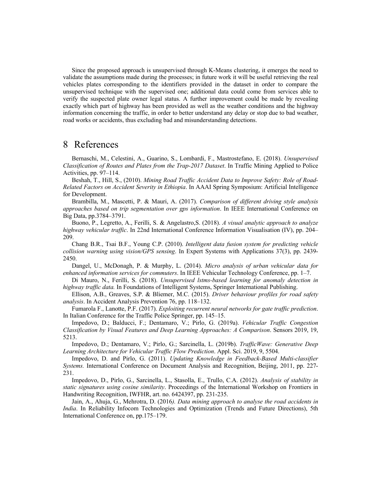Since the proposed approach is unsupervised through K-Means clustering, it emerges the need to validate the assumptions made during the processes; in future work it will be useful retrieving the real vehicles plates corresponding to the identifiers provided in the dataset in order to compare the unsupervised technique with the supervised one; additional data could come from services able to verify the suspected plate owner legal status. A further improvement could be made by revealing exactly which part of highway has been provided as well as the weather conditions and the highway information concerning the traffic, in order to better understand any delay or stop due to bad weather, road works or accidents, thus excluding bad and misunderstanding detections.

### 8 References

Bernaschi, M., Celestini, A., Guarino, S., Lombardi, F., Mastrostefano, E. (2018). *Unsupervised Classification of Routes and Plates from the Trap-2017 Dataset*. In Traffic Mining Applied to Police Activities, pp. 97–114.

Beshah, T., Hill, S., (2010). *Mining Road Traffic Accident Data to Improve Safety: Role of Road-Related Factors on Accident Severity in Ethiopia*. In AAAI Spring Symposium: Artificial Intelligence for Development.

Brambilla, M., Mascetti, P. & Mauri, A. (2017). *Comparison of different driving style analysis approaches based on trip segmentation over gps information*. In IEEE International Conference on Big Data, pp.3784–3791.

Buono, P., Legretto, A., Ferilli, S. & Angelastro,S. (2018). *A visual analytic approach to analyze highway vehicular traffic*. In 22nd International Conference Information Visualisation (IV), pp. 204– 209.

Chang B.R., Tsai B.F., Young C.P. (2010). *Intelligent data fusion system for predicting vehicle collision warning using vision/GPS sensing*. In Expert Systems with Applications 37(3), pp. 2439- 2450.

Dangel, U., McDonagh, P. & Murphy, L. (2014). *Micro analysis of urban vehicular data for enhanced information services for commuters*. In IEEE Vehicular Technology Conference, pp. 1–7.

Di Mauro, N., Ferilli, S. (2018). *Unsupervised lstms-based learning for anomaly detection in highway traffic data.* In Foundations of Intelligent Systems, Springer International Publishing.

Ellison, A.B., Greaves, S.P. & Bliemer, M.C. (2015). *Driver behaviour profiles for road safety analysis*. In Accident Analysis Prevention 76, pp. 118–132.

Fumarola F., Lanotte, P.F. (2017). *Exploiting recurrent neural networks for gate traffic prediction*. In Italian Conference for the Traffic Police Springer, pp. 145–15.

Impedovo, D.; Balducci, F.; Dentamaro, V.; Pirlo, G. (2019a). *Vehicular Traffic Congestion Classification by Visual Features and Deep Learning Approaches: A Comparison*. Sensors 2019, 19, 5213.

Impedovo, D.; Dentamaro, V.; Pirlo, G.; Sarcinella, L. (2019b). *TrafficWave: Generative Deep Learning Architecture for Vehicular Traffic Flow Prediction*. Appl. Sci. 2019, 9, 5504.

Impedovo, D. and Pirlo, G. (2011). *Updating Knowledge in Feedback-Based Multi-classifier Systems.* International Conference on Document Analysis and Recognition, Beijing, 2011, pp. 227- 231.

Impedovo, D., Pirlo, G., Sarcinella, L., Stasolla, E., Trullo, C.A. (2012). *Analysis of stability in static signatures using cosine similarity*. Proceedings of the International Workshop on Frontiers in Handwriting Recognition, IWFHR, art. no. 6424397, pp. 231-235.

Jain, A., Ahuja, G., Mehrotra, D. (2016*). Data mining approach to analyse the road accidents in India*. In Reliability Infocom Technologies and Optimization (Trends and Future Directions), 5th International Conference on, pp.175–179.